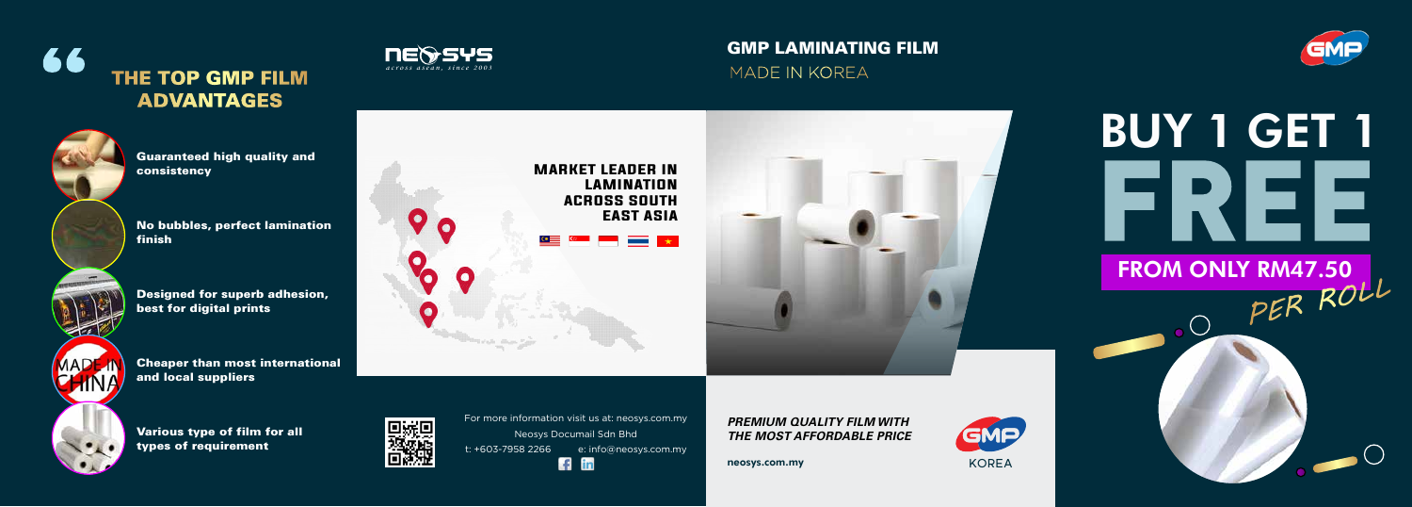



For more information visit us at: neosys.com.my Neosys Documail Sdn Bhd t: +603-7958 2266 e: info@neosys.com.my  $f$  in

*PREMIUM QUALITY FILM WITH THE MOST AFFORDABLE PRICE*

neosys.com.my



# BUY 1 GET 1 **FREE**

# FROM ONLY RM47.50<br>OPER ROLL

### 66 **THE TOP GMP FILM ADVANTAGES**





No bubbles, perfect lamination finish

Designed for superb adhesion, best for digital prints

Cheaper than most international and local suppliers

Various type of film for all types of requirement